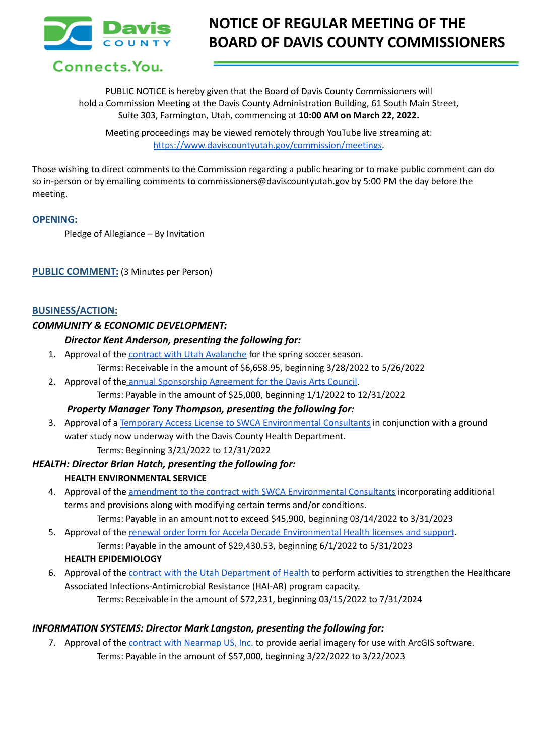

# **NOTICE OF REGULAR MEETING OF THE BOARD OF DAVIS COUNTY COMMISSIONERS**

Connects. You.

PUBLIC NOTICE is hereby given that the Board of Davis County Commissioners will hold a Commission Meeting at the Davis County Administration Building, 61 South Main Street, Suite 303, Farmington, Utah, commencing at **10:00 AM on March 22, 2022.**

Meeting proceedings may be viewed remotely through YouTube live streaming at: [https://www.daviscountyutah.gov/commission/meetings.](https://www.daviscountyutah.gov/commission/meetings)

Those wishing to direct comments to the Commission regarding a public hearing or to make public comment can do so in-person or by emailing comments to commissioners@daviscountyutah.gov by 5:00 PM the day before the meeting.

# **OPENING:**

Pledge of Allegiance – By Invitation

# **PUBLIC COMMENT:** (3 Minutes per Person)

# **BUSINESS/ACTION:**

# *COMMUNITY & ECONOMIC DEVELOPMENT:*

# *Director Kent Anderson, presenting the following for:*

- 1. Approval of the contract with Utah [Avalanche](https://drive.google.com/file/d/1L-YQ-0N7FFzYbKJz5Rv77LlTWm2y1C0i/view?usp=sharing) for the spring soccer season. Terms: Receivable in the amount of \$6,658.95, beginning 3/28/2022 to 5/26/2022
- 2. Approval of the annual [Sponsorship](https://drive.google.com/file/d/1KQ5P_UzWiUfbkG75GlQC8-rqugXvFS8-/view?usp=sharing) Agreement for the Davis Arts Council. Terms: Payable in the amount of \$25,000, beginning 1/1/2022 to 12/31/2022

# *Property Manager Tony Thompson, presenting the following for:*

3. Approval of a Temporary Access License to SWCA [Environmental](https://drive.google.com/file/d/1jqIud9a7n8iAdN5ZyToQtijsj34iHH7B/view?usp=sharing) Consultants in conjunction with a ground water study now underway with the Davis County Health Department. Terms: Beginning 3/21/2022 to 12/31/2022

# *HEALTH: Director Brian Hatch, presenting the following for:* **HEALTH ENVIRONMENTAL SERVICE**

4. Approval of the amendment to the contract with SWCA [Environmental](https://drive.google.com/file/d/1GdOEDtyDDdPpk-bubgrwKNzVP4fSvjlE/view?usp=sharing) Consultants incorporating additional terms and provisions along with modifying certain terms and/or conditions.

Terms: Payable in an amount not to exceed \$45,900, beginning 03/14/2022 to 3/31/2023

5. Approval of the renewal order form for Accela Decade [Environmental](https://drive.google.com/file/d/1gRmot3bDZPyfh3MhhW34n8kKZiky25ob/view?usp=sharing) Health licenses and support. Terms: Payable in the amount of \$29,430.53, beginning 6/1/2022 to 5/31/2023

#### **HEALTH EPIDEMIOLOGY**

6. Approval of the contract with the Utah [Department](https://drive.google.com/file/d/1VQQ4bZLrkrYGrws5W7a8bq1ugAcJUoqn/view?usp=sharing) of Health to perform activities to strengthen the Healthcare Associated Infections-Antimicrobial Resistance (HAI-AR) program capacity. Terms: Receivable in the amount of \$72,231, beginning 03/15/2022 to 7/31/2024

# *INFORMATION SYSTEMS: Director Mark Langston, presenting the following for:*

7. Approval of the contract with [Nearmap](https://drive.google.com/file/d/19Hx1ezuTmknCHMW1Y0Q5LNXT-JIP94LB/view?usp=sharing) US, Inc. to provide aerial imagery for use with ArcGIS software. Terms: Payable in the amount of \$57,000, beginning 3/22/2022 to 3/22/2023